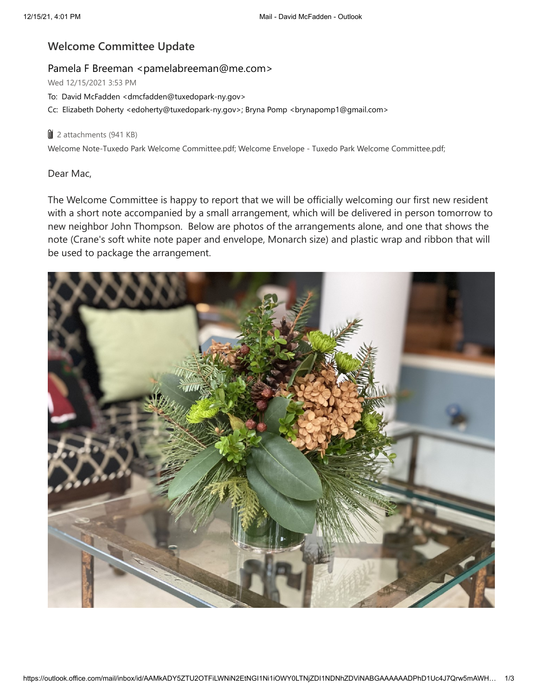## **Welcome Committee Update**

## Pamela F Breeman <pamelabreeman@me.com>

Wed 12/15/2021 3:53 PM

To: David McFadden <dmcfadden@tuxedopark-ny.gov>

Cc: Elizabeth Doherty <edoherty@tuxedopark-ny.gov>; Bryna Pomp <br/>brynapomp1@gmail.com>

## **U** 2 attachments (941 KB)

Welcome Note-Tuxedo Park Welcome Committee.pdf; Welcome Envelope - Tuxedo Park Welcome Committee.pdf;

## Dear Mac,

The Welcome Committee is happy to report that we will be officially welcoming our first new resident with a short note accompanied by a small arrangement, which will be delivered in person tomorrow to new neighbor John Thompson. Below are photos of the arrangements alone, and one that shows the note (Crane's soft white note paper and envelope, Monarch size) and plastic wrap and ribbon that will be used to package the arrangement.

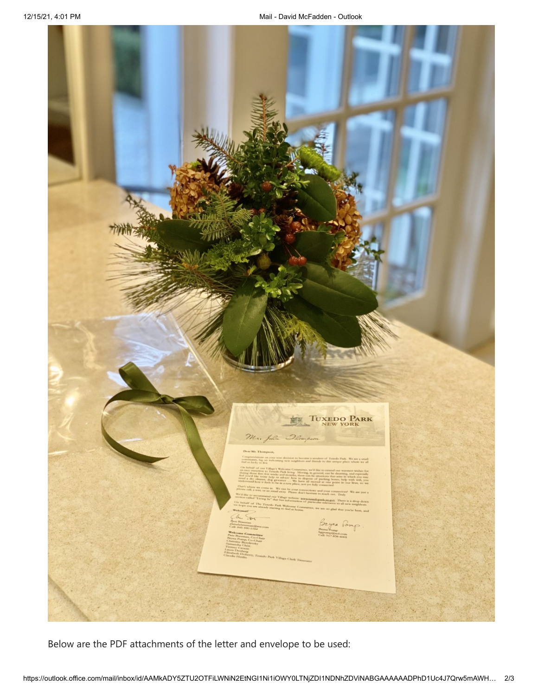

Below are the PDF attachments of the letter and envelope to be used: